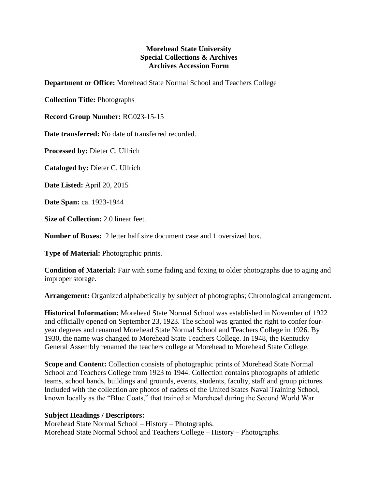## **Morehead State University Special Collections & Archives Archives Accession Form**

**Department or Office:** Morehead State Normal School and Teachers College

**Collection Title:** Photographs

**Record Group Number:** RG023-15-15

**Date transferred:** No date of transferred recorded.

**Processed by:** Dieter C. Ullrich

**Cataloged by:** Dieter C. Ullrich

**Date Listed:** April 20, 2015

**Date Span:** ca. 1923-1944

**Size of Collection:** 2.0 linear feet.

**Number of Boxes:** 2 letter half size document case and 1 oversized box.

**Type of Material:** Photographic prints.

**Condition of Material:** Fair with some fading and foxing to older photographs due to aging and improper storage.

**Arrangement:** Organized alphabetically by subject of photographs; Chronological arrangement.

**Historical Information:** Morehead State Normal School was established in November of 1922 and officially opened on September 23, 1923. The school was granted the right to confer fouryear degrees and renamed Morehead State Normal School and Teachers College in 1926. By 1930, the name was changed to Morehead State Teachers College. In 1948, the Kentucky General Assembly renamed the teachers college at Morehead to Morehead State College.

**Scope and Content:** Collection consists of photographic prints of Morehead State Normal School and Teachers College from 1923 to 1944. Collection contains photographs of athletic teams, school bands, buildings and grounds, events, students, faculty, staff and group pictures. Included with the collection are photos of cadets of the United States Naval Training School, known locally as the "Blue Coats," that trained at Morehead during the Second World War.

## **Subject Headings / Descriptors:**

Morehead State Normal School – History – Photographs. Morehead State Normal School and Teachers College – History – Photographs.